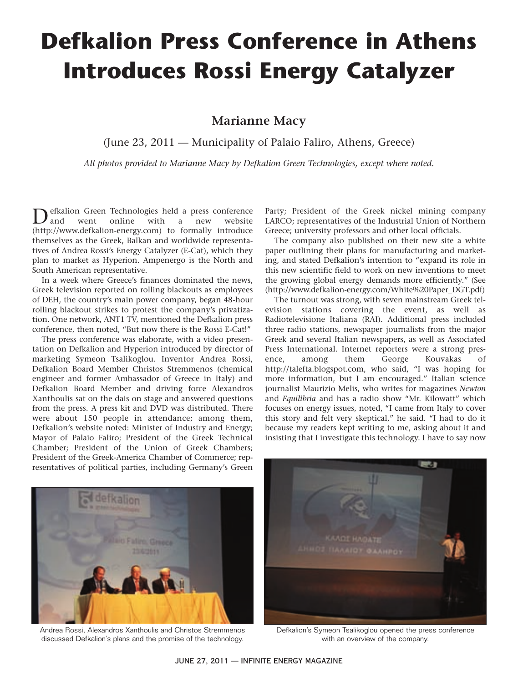## **Defkalion Press Conference in Athens Introduces Rossi Energy Catalyzer**

## **Marianne Macy**

(June 23, 2011 — Municipality of Palaio Faliro, Athens, Greece)

*All photos provided to Marianne Macy by Defkalion Green Technologies, except where noted.*

efkalion Green Technologies held a press conference<br>and went online with a new website online (http://www.defkalion-energy.com) to formally introduce themselves as the Greek, Balkan and worldwide representatives of Andrea Rossi's Energy Catalyzer (E-Cat), which they plan to market as Hyperion. Ampenergo is the North and South American representative.

In a week where Greece's finances dominated the news, Greek television reported on rolling blackouts as employees of DEH, the country's main power company, began 48-hour rolling blackout strikes to protest the company's privatization. One network, ANT1 TV, mentioned the Defkalion press conference, then noted, "But now there is the Rossi E-Cat!"

The press conference was elaborate, with a video presentation on Defkalion and Hyperion introduced by director of marketing Symeon Tsalikoglou. Inventor Andrea Rossi, Defkalion Board Member Christos Stremmenos (chemical engineer and former Ambassador of Greece in Italy) and Defkalion Board Member and driving force Alexandros Xanthoulis sat on the dais on stage and answered questions from the press. A press kit and DVD was distributed. There were about 150 people in attendance; among them, Defkalion's website noted: Minister of Industry and Energy; Mayor of Palaio Faliro; President of the Greek Technical Chamber; President of the Union of Greek Chambers; President of the Greek-America Chamber of Commerce; representatives of political parties, including Germany's Green



Andrea Rossi, Alexandros Xanthoulis and Christos Stremmenos discussed Defkalion's plans and the promise of the technology.

Party; President of the Greek nickel mining company LARCO; representatives of the Industrial Union of Northern Greece; university professors and other local officials.

The company also published on their new site a white paper outlining their plans for manufacturing and marketing, and stated Defkalion's intention to "expand its role in this new scientific field to work on new inventions to meet the growing global energy demands more efficiently." (See (http://www.defkalion-energy.com/White%20Paper\_DGT.pdf)

The turnout was strong, with seven mainstream Greek television stations covering the event, as well as Radiotelevisione Italiana (RAI). Additional press included three radio stations, newspaper journalists from the major Greek and several Italian newspapers, as well as Associated Press International. Internet reporters were a strong presence, among them George Kouvakas of http://talefta.blogspot.com, who said, "I was hoping for more information, but I am encouraged." Italian science journalist Maurizio Melis, who writes for magazines *Newton* and *Equilibria* and has a radio show "Mr. Kilowatt" which focuses on energy issues, noted, "I came from Italy to cover this story and felt very skeptical," he said. "I had to do it because my readers kept writing to me, asking about it and insisting that I investigate this technology. I have to say now



Defkalion's Symeon Tsalikoglou opened the press conference with an overview of the company.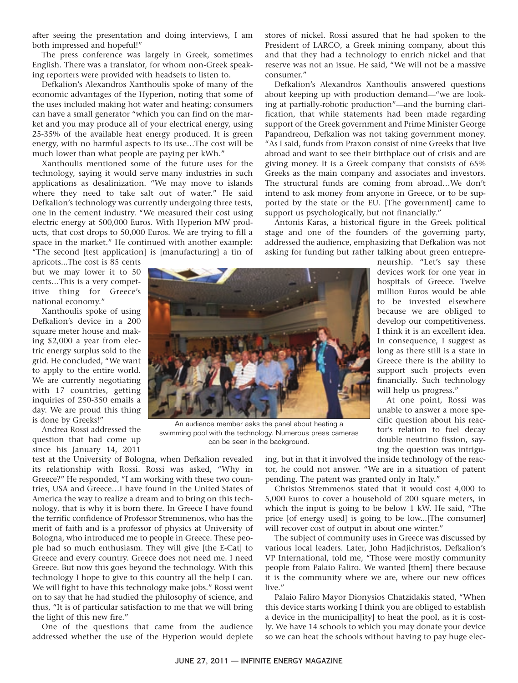after seeing the presentation and doing interviews, I am both impressed and hopeful!"

The press conference was largely in Greek, sometimes English. There was a translator, for whom non-Greek speaking reporters were provided with headsets to listen to.

Defkalion's Alexandros Xanthoulis spoke of many of the economic advantages of the Hyperion, noting that some of the uses included making hot water and heating; consumers can have a small generator "which you can find on the market and you may produce all of your electrical energy, using 25-35% of the available heat energy produced. It is green energy, with no harmful aspects to its use…The cost will be much lower than what people are paying per kWh."

Xanthoulis mentioned some of the future uses for the technology, saying it would serve many industries in such applications as desalinization. "We may move to islands where they need to take salt out of water." He said Defkalion's technology was currently undergoing three tests, one in the cement industry. "We measured their cost using electric energy at 500,000 Euros. With Hyperion MW products, that cost drops to 50,000 Euros. We are trying to fill a space in the market." He continued with another example: "The second [test application] is [manufacturing] a tin of stores of nickel. Rossi assured that he had spoken to the President of LARCO, a Greek mining company, about this and that they had a technology to enrich nickel and that reserve was not an issue. He said, "We will not be a massive consumer."

Defkalion's Alexandros Xanthoulis answered questions about keeping up with production demand—"we are looking at partially-robotic production"—and the burning clarification, that while statements had been made regarding support of the Greek government and Prime Minister George Papandreou, Defkalion was not taking government money. "As I said, funds from Praxon consist of nine Greeks that live abroad and want to see their birthplace out of crisis and are giving money. It is a Greek company that consists of 65% Greeks as the main company and associates and investors. The structural funds are coming from abroad…We don't intend to ask money from anyone in Greece, or to be supported by the state or the EU. [The government] came to support us psychologically, but not financially."

Antonis Karas, a historical figure in the Greek political stage and one of the founders of the governing party, addressed the audience, emphasizing that Defkalion was not asking for funding but rather talking about green entrepre-

apricots...The cost is 85 cents but we may lower it to 50 cents…This is a very competitive thing for Greece's national economy."

Xanthoulis spoke of using Defkalion's device in a 200 square meter house and making \$2,000 a year from electric energy surplus sold to the grid. He concluded, "We want to apply to the entire world. We are currently negotiating with 17 countries, getting inquiries of 250-350 emails a day. We are proud this thing is done by Greeks!"

Andrea Rossi addressed the question that had come up since his January 14, 2011

test at the University of Bologna, when Defkalion revealed its relationship with Rossi. Rossi was asked, "Why in Greece?" He responded, "I am working with these two countries, USA and Greece…I have found in the United States of America the way to realize a dream and to bring on this technology, that is why it is born there. In Greece I have found the terrific confidence of Professor Stremmenos, who has the merit of faith and is a professor of physics at University of Bologna, who introduced me to people in Greece. These people had so much enthusiasm. They will give [the E-Cat] to Greece and every country. Greece does not need me. I need Greece. But now this goes beyond the technology. With this technology I hope to give to this country all the help I can. We will fight to have this technology make jobs." Rossi went on to say that he had studied the philosophy of science, and thus, "It is of particular satisfaction to me that we will bring the light of this new fire."

One of the questions that came from the audience addressed whether the use of the Hyperion would deplete neurship. "Let's say these devices work for one year in hospitals of Greece. Twelve million Euros would be able to be invested elsewhere because we are obliged to develop our competitiveness. I think it is an excellent idea. In consequence, I suggest as long as there still is a state in Greece there is the ability to support such projects even financially. Such technology will help us progress."

At one point, Rossi was unable to answer a more specific question about his reactor's relation to fuel decay double neutrino fission, saying the question was intrigu-



An audience member asks the panel about heating a swimming pool with the technology. Numerous press cameras can be seen in the background.

ing, but in that it involved the inside technology of the reactor, he could not answer. "We are in a situation of patent pending. The patent was granted only in Italy."

Christos Stremmenos stated that it would cost 4,000 to 5,000 Euros to cover a household of 200 square meters, in which the input is going to be below 1 kW. He said, "The price [of energy used] is going to be low...[The consumer] will recover cost of output in about one winter."

The subject of community uses in Greece was discussed by various local leaders. Later, John Hadjichristos, Defkalion's VP International, told me, "Those were mostly community people from Palaio Faliro. We wanted [them] there because it is the community where we are, where our new offices live."

Palaio Faliro Mayor Dionysios Chatzidakis stated, "When this device starts working I think you are obliged to establish a device in the municipal[ity] to heat the pool, as it is costly. We have 14 schools to which you may donate your device so we can heat the schools without having to pay huge elec-